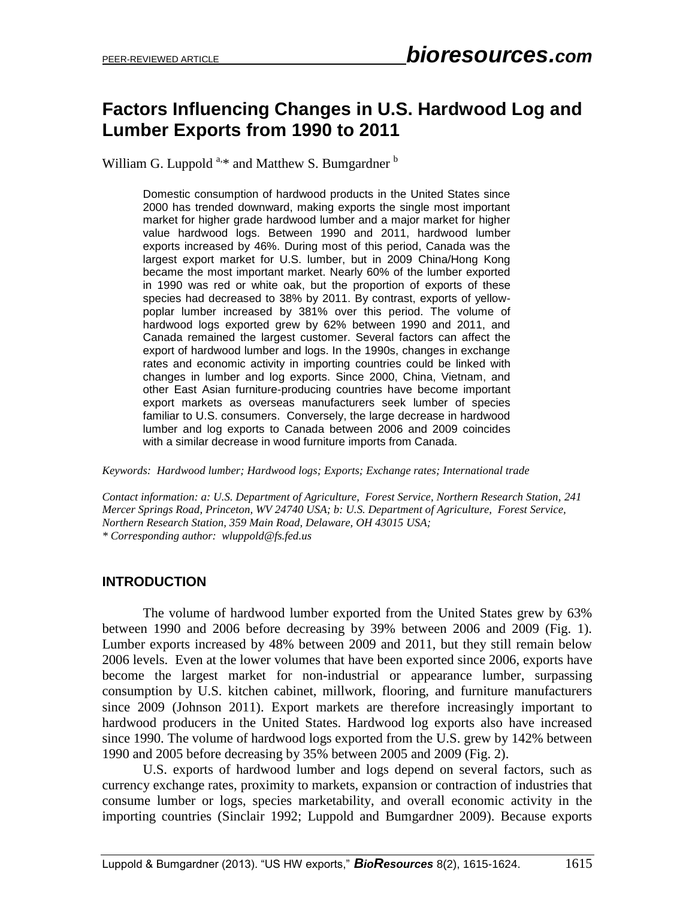# **Factors Influencing Changes in U.S. Hardwood Log and Lumber Exports from 1990 to 2011**

William G. Luppold  $a_{\alpha*}$  and Matthew S. Bumgardner  $b$ 

Domestic consumption of hardwood products in the United States since 2000 has trended downward, making exports the single most important market for higher grade hardwood lumber and a major market for higher value hardwood logs. Between 1990 and 2011, hardwood lumber exports increased by 46%. During most of this period, Canada was the largest export market for U.S. lumber, but in 2009 China/Hong Kong became the most important market. Nearly 60% of the lumber exported in 1990 was red or white oak, but the proportion of exports of these species had decreased to 38% by 2011. By contrast, exports of yellowpoplar lumber increased by 381% over this period. The volume of hardwood logs exported grew by 62% between 1990 and 2011, and Canada remained the largest customer. Several factors can affect the export of hardwood lumber and logs. In the 1990s, changes in exchange rates and economic activity in importing countries could be linked with changes in lumber and log exports. Since 2000, China, Vietnam, and other East Asian furniture-producing countries have become important export markets as overseas manufacturers seek lumber of species familiar to U.S. consumers. Conversely, the large decrease in hardwood lumber and log exports to Canada between 2006 and 2009 coincides with a similar decrease in wood furniture imports from Canada.

*Keywords: Hardwood lumber; Hardwood logs; Exports; Exchange rates; International trade*

*Contact information: a: U.S. Department of Agriculture, Forest Service, Northern Research Station, 241 Mercer Springs Road, Princeton, WV 24740 USA; b: U.S. Department of Agriculture, Forest Service, Northern Research Station, 359 Main Road, Delaware, OH 43015 USA; \* Corresponding author: wluppold@fs.fed.us*

#### **INTRODUCTION**

The volume of hardwood lumber exported from the United States grew by 63% between 1990 and 2006 before decreasing by 39% between 2006 and 2009 (Fig. 1). Lumber exports increased by 48% between 2009 and 2011, but they still remain below 2006 levels. Even at the lower volumes that have been exported since 2006, exports have become the largest market for non-industrial or appearance lumber, surpassing consumption by U.S. kitchen cabinet, millwork, flooring, and furniture manufacturers since 2009 (Johnson 2011). Export markets are therefore increasingly important to hardwood producers in the United States. Hardwood log exports also have increased since 1990. The volume of hardwood logs exported from the U.S. grew by 142% between 1990 and 2005 before decreasing by 35% between 2005 and 2009 (Fig. 2).

U.S. exports of hardwood lumber and logs depend on several factors, such as currency exchange rates, proximity to markets, expansion or contraction of industries that consume lumber or logs, species marketability, and overall economic activity in the importing countries (Sinclair 1992; Luppold and Bumgardner 2009). Because exports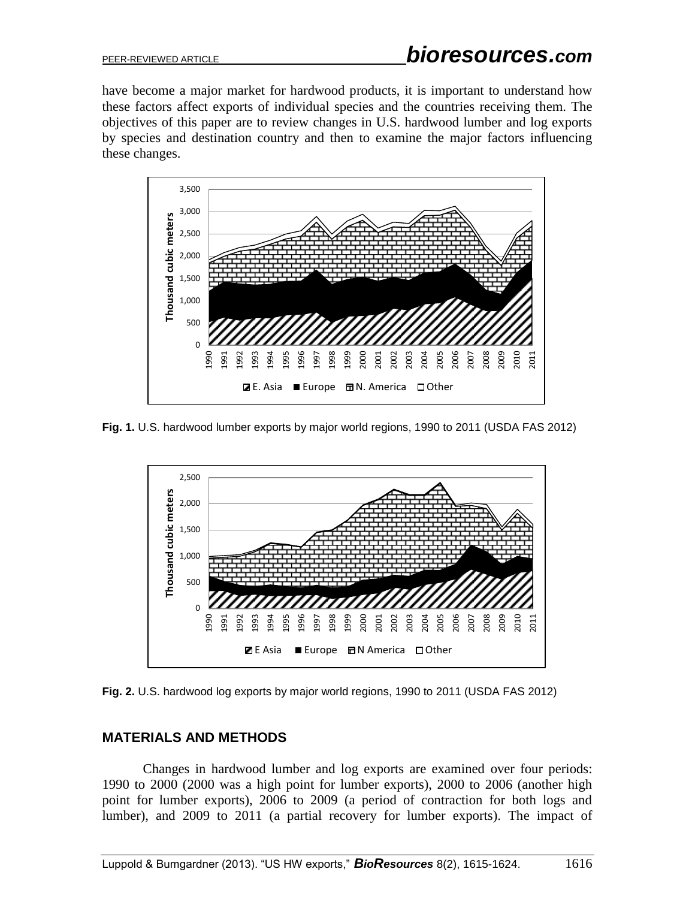have become a major market for hardwood products, it is important to understand how these factors affect exports of individual species and the countries receiving them. The objectives of this paper are to review changes in U.S. hardwood lumber and log exports by species and destination country and then to examine the major factors influencing these changes.



**Fig. 1.** U.S. hardwood lumber exports by major world regions, 1990 to 2011 (USDA FAS 2012)



**Fig. 2.** U.S. hardwood log exports by major world regions, 1990 to 2011 (USDA FAS 2012)

## **MATERIALS AND METHODS**

Changes in hardwood lumber and log exports are examined over four periods: 1990 to 2000 (2000 was a high point for lumber exports), 2000 to 2006 (another high point for lumber exports), 2006 to 2009 (a period of contraction for both logs and lumber), and 2009 to 2011 (a partial recovery for lumber exports). The impact of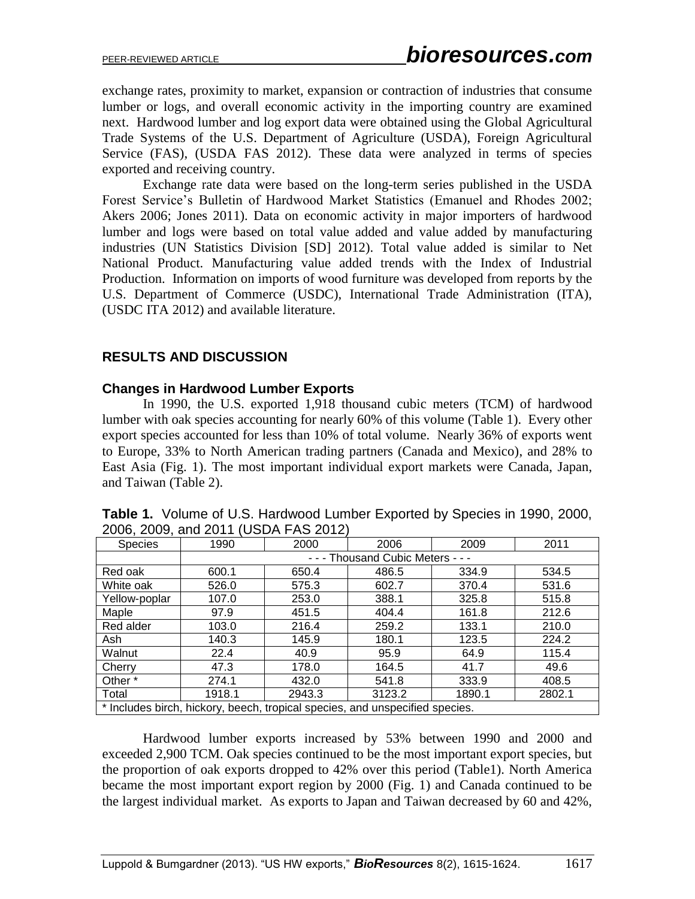exchange rates, proximity to market, expansion or contraction of industries that consume lumber or logs, and overall economic activity in the importing country are examined next. Hardwood lumber and log export data were obtained using the Global Agricultural Trade Systems of the U.S. Department of Agriculture (USDA), Foreign Agricultural Service (FAS), (USDA FAS 2012). These data were analyzed in terms of species exported and receiving country.

Exchange rate data were based on the long-term series published in the USDA Forest Service's Bulletin of Hardwood Market Statistics (Emanuel and Rhodes 2002; Akers 2006; Jones 2011). Data on economic activity in major importers of hardwood lumber and logs were based on total value added and value added by manufacturing industries (UN Statistics Division [SD] 2012). Total value added is similar to Net National Product. Manufacturing value added trends with the Index of Industrial Production. Information on imports of wood furniture was developed from reports by the U.S. Department of Commerce (USDC), International Trade Administration (ITA), (USDC ITA 2012) and available literature.

#### **RESULTS AND DISCUSSION**

#### **Changes in Hardwood Lumber Exports**

In 1990, the U.S. exported 1,918 thousand cubic meters (TCM) of hardwood lumber with oak species accounting for nearly 60% of this volume (Table 1). Every other export species accounted for less than 10% of total volume. Nearly 36% of exports went to Europe, 33% to North American trading partners (Canada and Mexico), and 28% to East Asia (Fig. 1). The most important individual export markets were Canada, Japan, and Taiwan (Table 2).

| <b>Species</b>                                                               | 1990                              | 2000   | 2006   | 2009   | 2011   |  |  |
|------------------------------------------------------------------------------|-----------------------------------|--------|--------|--------|--------|--|--|
|                                                                              | - - - Thousand Cubic Meters - - - |        |        |        |        |  |  |
| Red oak                                                                      | 600.1                             | 650.4  | 486.5  | 334.9  | 534.5  |  |  |
| White oak                                                                    | 526.0                             | 575.3  | 602.7  | 370.4  | 531.6  |  |  |
| Yellow-poplar                                                                | 107.0                             | 253.0  | 388.1  | 325.8  | 515.8  |  |  |
| Maple                                                                        | 97.9                              | 451.5  | 404.4  | 161.8  | 212.6  |  |  |
| Red alder                                                                    | 103.0                             | 216.4  | 259.2  | 133.1  | 210.0  |  |  |
| Ash                                                                          | 140.3                             | 145.9  | 180.1  | 123.5  | 224.2  |  |  |
| Walnut                                                                       | 22.4                              | 40.9   | 95.9   | 64.9   | 115.4  |  |  |
| Cherry                                                                       | 47.3                              | 178.0  | 164.5  | 41.7   | 49.6   |  |  |
| Other *                                                                      | 274.1                             | 432.0  | 541.8  | 333.9  | 408.5  |  |  |
| Total                                                                        | 1918.1                            | 2943.3 | 3123.2 | 1890.1 | 2802.1 |  |  |
| * Includes birch, hickory, beech, tropical species, and unspecified species. |                                   |        |        |        |        |  |  |

**Table 1.** Volume of U.S. Hardwood Lumber Exported by Species in 1990, 2000, 2006, 2009, and 2011 (USDA FAS 2012)

Hardwood lumber exports increased by 53% between 1990 and 2000 and exceeded 2,900 TCM. Oak species continued to be the most important export species, but the proportion of oak exports dropped to 42% over this period (Table1). North America became the most important export region by 2000 (Fig. 1) and Canada continued to be the largest individual market. As exports to Japan and Taiwan decreased by 60 and 42%,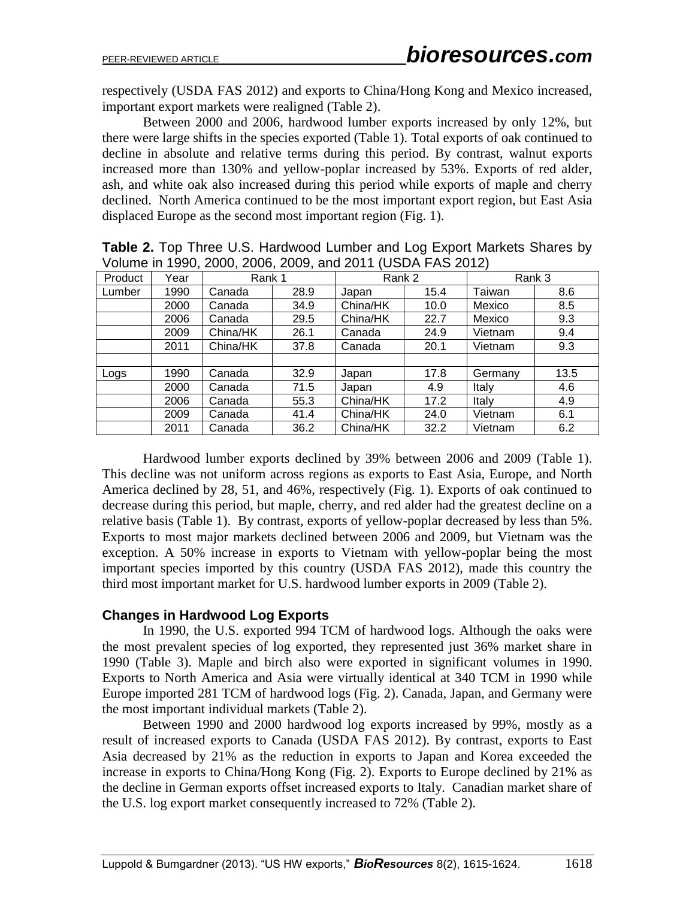respectively (USDA FAS 2012) and exports to China/Hong Kong and Mexico increased, important export markets were realigned (Table 2).

Between 2000 and 2006, hardwood lumber exports increased by only 12%, but there were large shifts in the species exported (Table 1). Total exports of oak continued to decline in absolute and relative terms during this period. By contrast, walnut exports increased more than 130% and yellow-poplar increased by 53%. Exports of red alder, ash, and white oak also increased during this period while exports of maple and cherry declined. North America continued to be the most important export region, but East Asia displaced Europe as the second most important region (Fig. 1).

| <u>VOIUME IN 1990, ZUUU, ZUUO, ZUU9, AND ZUTT (USDA FAS ZUTZ)</u> |      |          |      |          |      |         |      |
|-------------------------------------------------------------------|------|----------|------|----------|------|---------|------|
| Product                                                           | Year | Rank 1   |      | Rank 2   |      | Rank 3  |      |
| Lumber                                                            | 1990 | Canada   | 28.9 | Japan    | 15.4 | Taiwan  | 8.6  |
|                                                                   | 2000 | Canada   | 34.9 | China/HK | 10.0 | Mexico  | 8.5  |
|                                                                   | 2006 | Canada   | 29.5 | China/HK | 22.7 | Mexico  | 9.3  |
|                                                                   | 2009 | China/HK | 26.1 | Canada   | 24.9 | Vietnam | 9.4  |
|                                                                   | 2011 | China/HK | 37.8 | Canada   | 20.1 | Vietnam | 9.3  |
|                                                                   |      |          |      |          |      |         |      |
| Logs                                                              | 1990 | Canada   | 32.9 | Japan    | 17.8 | Germany | 13.5 |
|                                                                   | 2000 | Canada   | 71.5 | Japan    | 4.9  | Italy   | 4.6  |
|                                                                   | 2006 | Canada   | 55.3 | China/HK | 17.2 | Italy   | 4.9  |
|                                                                   | 2009 | Canada   | 41.4 | China/HK | 24.0 | Vietnam | 6.1  |
|                                                                   | 2011 | Canada   | 36.2 | China/HK | 32.2 | Vietnam | 6.2  |

**Table 2.** Top Three U.S. Hardwood Lumber and Log Export Markets Shares by  $V_{\text{olume}}$  in 1990, 2000, 2006, 2009, and 2011 (USDA FAS

Hardwood lumber exports declined by 39% between 2006 and 2009 (Table 1). This decline was not uniform across regions as exports to East Asia, Europe, and North America declined by 28, 51, and 46%, respectively (Fig. 1). Exports of oak continued to decrease during this period, but maple, cherry, and red alder had the greatest decline on a relative basis (Table 1). By contrast, exports of yellow-poplar decreased by less than 5%. Exports to most major markets declined between 2006 and 2009, but Vietnam was the exception. A 50% increase in exports to Vietnam with yellow-poplar being the most important species imported by this country (USDA FAS 2012), made this country the third most important market for U.S. hardwood lumber exports in 2009 (Table 2).

## **Changes in Hardwood Log Exports**

In 1990, the U.S. exported 994 TCM of hardwood logs. Although the oaks were the most prevalent species of log exported, they represented just 36% market share in 1990 (Table 3). Maple and birch also were exported in significant volumes in 1990. Exports to North America and Asia were virtually identical at 340 TCM in 1990 while Europe imported 281 TCM of hardwood logs (Fig. 2). Canada, Japan, and Germany were the most important individual markets (Table 2).

Between 1990 and 2000 hardwood log exports increased by 99%, mostly as a result of increased exports to Canada (USDA FAS 2012). By contrast, exports to East Asia decreased by 21% as the reduction in exports to Japan and Korea exceeded the increase in exports to China/Hong Kong (Fig. 2). Exports to Europe declined by 21% as the decline in German exports offset increased exports to Italy. Canadian market share of the U.S. log export market consequently increased to 72% (Table 2).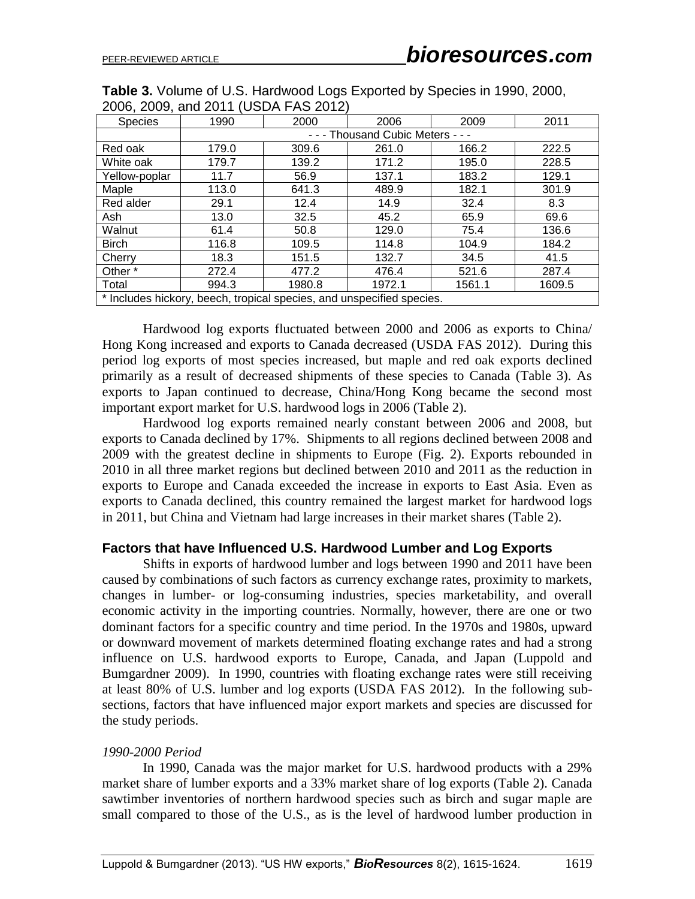| <b>Species</b>                                                        | 1990                              | 2000   | 2006   | 2009   | 2011   |  |  |
|-----------------------------------------------------------------------|-----------------------------------|--------|--------|--------|--------|--|--|
|                                                                       | - - - Thousand Cubic Meters - - - |        |        |        |        |  |  |
| Red oak                                                               | 179.0                             | 309.6  | 261.0  | 166.2  | 222.5  |  |  |
| White oak                                                             | 179.7                             | 139.2  | 171.2  | 195.0  | 228.5  |  |  |
| Yellow-poplar                                                         | 11.7                              | 56.9   | 137.1  | 183.2  | 129.1  |  |  |
| Maple                                                                 | 113.0                             | 641.3  | 489.9  | 182.1  | 301.9  |  |  |
| Red alder                                                             | 29.1                              | 12.4   | 14.9   | 32.4   | 8.3    |  |  |
| Ash                                                                   | 13.0                              | 32.5   | 45.2   | 65.9   | 69.6   |  |  |
| Walnut                                                                | 61.4                              | 50.8   | 129.0  | 75.4   | 136.6  |  |  |
| <b>Birch</b>                                                          | 116.8                             | 109.5  | 114.8  | 104.9  | 184.2  |  |  |
| Cherry                                                                | 18.3                              | 151.5  | 132.7  | 34.5   | 41.5   |  |  |
| Other *                                                               | 272.4                             | 477.2  | 476.4  | 521.6  | 287.4  |  |  |
| Total                                                                 | 994.3                             | 1980.8 | 1972.1 | 1561.1 | 1609.5 |  |  |
| * Includes hickory, beech, tropical species, and unspecified species. |                                   |        |        |        |        |  |  |

**Table 3.** Volume of U.S. Hardwood Logs Exported by Species in 1990, 2000, 2006, 2009, and 2011 (USDA FAS 2012)

Hardwood log exports fluctuated between 2000 and 2006 as exports to China/ Hong Kong increased and exports to Canada decreased (USDA FAS 2012). During this period log exports of most species increased, but maple and red oak exports declined primarily as a result of decreased shipments of these species to Canada (Table 3). As exports to Japan continued to decrease, China/Hong Kong became the second most important export market for U.S. hardwood logs in 2006 (Table 2).

Hardwood log exports remained nearly constant between 2006 and 2008, but exports to Canada declined by 17%. Shipments to all regions declined between 2008 and 2009 with the greatest decline in shipments to Europe (Fig. 2). Exports rebounded in 2010 in all three market regions but declined between 2010 and 2011 as the reduction in exports to Europe and Canada exceeded the increase in exports to East Asia. Even as exports to Canada declined, this country remained the largest market for hardwood logs in 2011, but China and Vietnam had large increases in their market shares (Table 2).

#### **Factors that have Influenced U.S. Hardwood Lumber and Log Exports**

Shifts in exports of hardwood lumber and logs between 1990 and 2011 have been caused by combinations of such factors as currency exchange rates, proximity to markets, changes in lumber- or log-consuming industries, species marketability, and overall economic activity in the importing countries. Normally, however, there are one or two dominant factors for a specific country and time period. In the 1970s and 1980s, upward or downward movement of markets determined floating exchange rates and had a strong influence on U.S. hardwood exports to Europe, Canada, and Japan (Luppold and Bumgardner 2009). In 1990, countries with floating exchange rates were still receiving at least 80% of U.S. lumber and log exports (USDA FAS 2012). In the following subsections, factors that have influenced major export markets and species are discussed for the study periods.

#### *1990-2000 Period*

In 1990, Canada was the major market for U.S. hardwood products with a 29% market share of lumber exports and a 33% market share of log exports (Table 2). Canada sawtimber inventories of northern hardwood species such as birch and sugar maple are small compared to those of the U.S., as is the level of hardwood lumber production in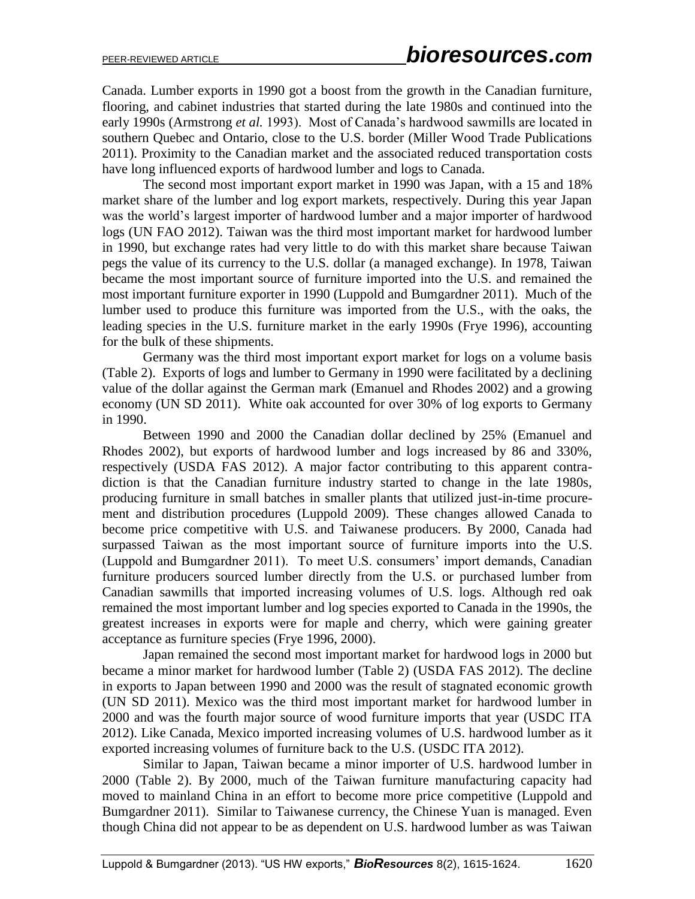Canada. Lumber exports in 1990 got a boost from the growth in the Canadian furniture, flooring, and cabinet industries that started during the late 1980s and continued into the early 1990s (Armstrong *et al.* 1993). Most of Canada's hardwood sawmills are located in southern Quebec and Ontario, close to the U.S. border (Miller Wood Trade Publications 2011). Proximity to the Canadian market and the associated reduced transportation costs have long influenced exports of hardwood lumber and logs to Canada.

The second most important export market in 1990 was Japan, with a 15 and 18% market share of the lumber and log export markets, respectively. During this year Japan was the world's largest importer of hardwood lumber and a major importer of hardwood logs (UN FAO 2012). Taiwan was the third most important market for hardwood lumber in 1990, but exchange rates had very little to do with this market share because Taiwan pegs the value of its currency to the U.S. dollar (a managed exchange). In 1978, Taiwan became the most important source of furniture imported into the U.S. and remained the most important furniture exporter in 1990 (Luppold and Bumgardner 2011). Much of the lumber used to produce this furniture was imported from the U.S., with the oaks, the leading species in the U.S. furniture market in the early 1990s (Frye 1996), accounting for the bulk of these shipments.

Germany was the third most important export market for logs on a volume basis (Table 2). Exports of logs and lumber to Germany in 1990 were facilitated by a declining value of the dollar against the German mark (Emanuel and Rhodes 2002) and a growing economy (UN SD 2011). White oak accounted for over 30% of log exports to Germany in 1990.

Between 1990 and 2000 the Canadian dollar declined by 25% (Emanuel and Rhodes 2002), but exports of hardwood lumber and logs increased by 86 and 330%, respectively (USDA FAS 2012). A major factor contributing to this apparent contradiction is that the Canadian furniture industry started to change in the late 1980s, producing furniture in small batches in smaller plants that utilized just-in-time procurement and distribution procedures (Luppold 2009). These changes allowed Canada to become price competitive with U.S. and Taiwanese producers. By 2000, Canada had surpassed Taiwan as the most important source of furniture imports into the U.S. (Luppold and Bumgardner 2011). To meet U.S. consumers' import demands, Canadian furniture producers sourced lumber directly from the U.S. or purchased lumber from Canadian sawmills that imported increasing volumes of U.S. logs. Although red oak remained the most important lumber and log species exported to Canada in the 1990s, the greatest increases in exports were for maple and cherry, which were gaining greater acceptance as furniture species (Frye 1996, 2000).

Japan remained the second most important market for hardwood logs in 2000 but became a minor market for hardwood lumber (Table 2) (USDA FAS 2012). The decline in exports to Japan between 1990 and 2000 was the result of stagnated economic growth (UN SD 2011). Mexico was the third most important market for hardwood lumber in 2000 and was the fourth major source of wood furniture imports that year (USDC ITA 2012). Like Canada, Mexico imported increasing volumes of U.S. hardwood lumber as it exported increasing volumes of furniture back to the U.S. (USDC ITA 2012).

Similar to Japan, Taiwan became a minor importer of U.S. hardwood lumber in 2000 (Table 2). By 2000, much of the Taiwan furniture manufacturing capacity had moved to mainland China in an effort to become more price competitive (Luppold and Bumgardner 2011). Similar to Taiwanese currency, the Chinese Yuan is managed. Even though China did not appear to be as dependent on U.S. hardwood lumber as was Taiwan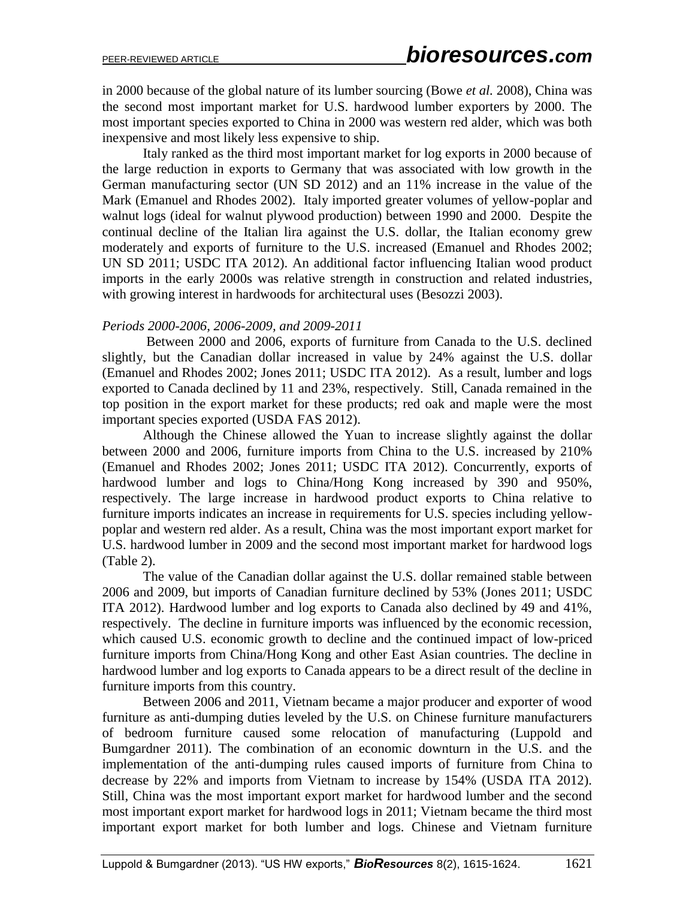in 2000 because of the global nature of its lumber sourcing (Bowe *et al.* 2008), China was the second most important market for U.S. hardwood lumber exporters by 2000. The most important species exported to China in 2000 was western red alder, which was both inexpensive and most likely less expensive to ship.

Italy ranked as the third most important market for log exports in 2000 because of the large reduction in exports to Germany that was associated with low growth in the German manufacturing sector (UN SD 2012) and an 11% increase in the value of the Mark (Emanuel and Rhodes 2002). Italy imported greater volumes of yellow-poplar and walnut logs (ideal for walnut plywood production) between 1990 and 2000. Despite the continual decline of the Italian lira against the U.S. dollar, the Italian economy grew moderately and exports of furniture to the U.S. increased (Emanuel and Rhodes 2002; UN SD 2011; USDC ITA 2012). An additional factor influencing Italian wood product imports in the early 2000s was relative strength in construction and related industries, with growing interest in hardwoods for architectural uses (Besozzi 2003).

#### *Periods 2000-2006, 2006-2009, and 2009-2011*

Between 2000 and 2006, exports of furniture from Canada to the U.S. declined slightly, but the Canadian dollar increased in value by 24% against the U.S. dollar (Emanuel and Rhodes 2002; Jones 2011; USDC ITA 2012). As a result, lumber and logs exported to Canada declined by 11 and 23%, respectively. Still, Canada remained in the top position in the export market for these products; red oak and maple were the most important species exported (USDA FAS 2012).

Although the Chinese allowed the Yuan to increase slightly against the dollar between 2000 and 2006, furniture imports from China to the U.S. increased by 210% (Emanuel and Rhodes 2002; Jones 2011; USDC ITA 2012). Concurrently, exports of hardwood lumber and logs to China/Hong Kong increased by 390 and 950%, respectively. The large increase in hardwood product exports to China relative to furniture imports indicates an increase in requirements for U.S. species including yellowpoplar and western red alder. As a result, China was the most important export market for U.S. hardwood lumber in 2009 and the second most important market for hardwood logs (Table 2).

The value of the Canadian dollar against the U.S. dollar remained stable between 2006 and 2009, but imports of Canadian furniture declined by 53% (Jones 2011; USDC ITA 2012). Hardwood lumber and log exports to Canada also declined by 49 and 41%, respectively. The decline in furniture imports was influenced by the economic recession, which caused U.S. economic growth to decline and the continued impact of low-priced furniture imports from China/Hong Kong and other East Asian countries. The decline in hardwood lumber and log exports to Canada appears to be a direct result of the decline in furniture imports from this country.

Between 2006 and 2011, Vietnam became a major producer and exporter of wood furniture as anti-dumping duties leveled by the U.S. on Chinese furniture manufacturers of bedroom furniture caused some relocation of manufacturing (Luppold and Bumgardner 2011). The combination of an economic downturn in the U.S. and the implementation of the anti-dumping rules caused imports of furniture from China to decrease by 22% and imports from Vietnam to increase by 154% (USDA ITA 2012). Still, China was the most important export market for hardwood lumber and the second most important export market for hardwood logs in 2011; Vietnam became the third most important export market for both lumber and logs. Chinese and Vietnam furniture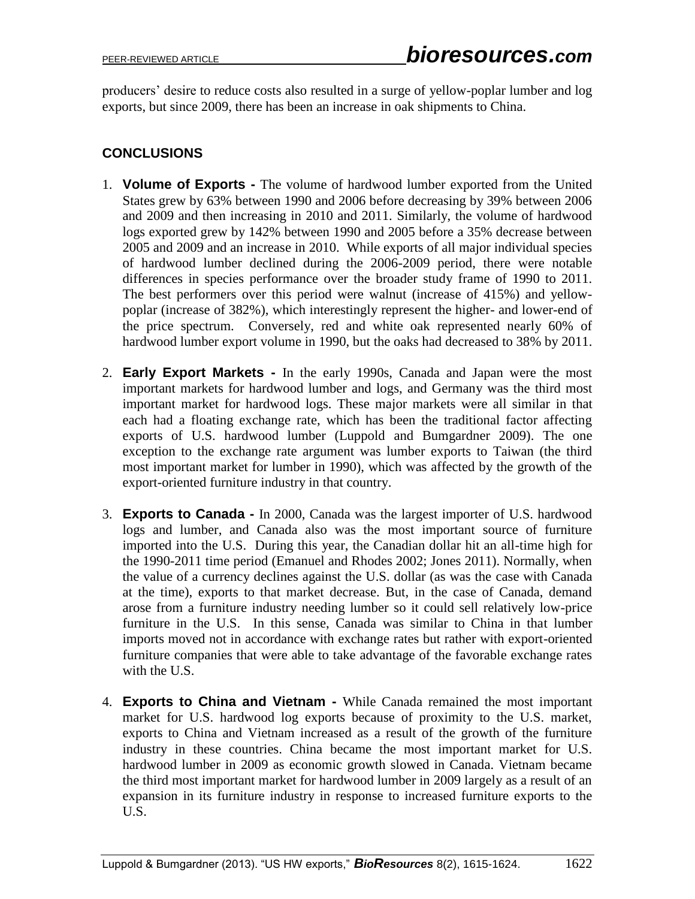producers' desire to reduce costs also resulted in a surge of yellow-poplar lumber and log exports, but since 2009, there has been an increase in oak shipments to China.

# **CONCLUSIONS**

- 1. **Volume of Exports -** The volume of hardwood lumber exported from the United States grew by 63% between 1990 and 2006 before decreasing by 39% between 2006 and 2009 and then increasing in 2010 and 2011. Similarly, the volume of hardwood logs exported grew by 142% between 1990 and 2005 before a 35% decrease between 2005 and 2009 and an increase in 2010. While exports of all major individual species of hardwood lumber declined during the 2006-2009 period, there were notable differences in species performance over the broader study frame of 1990 to 2011. The best performers over this period were walnut (increase of 415%) and yellowpoplar (increase of 382%), which interestingly represent the higher- and lower-end of the price spectrum. Conversely, red and white oak represented nearly 60% of hardwood lumber export volume in 1990, but the oaks had decreased to 38% by 2011.
- 2. **Early Export Markets -** In the early 1990s, Canada and Japan were the most important markets for hardwood lumber and logs, and Germany was the third most important market for hardwood logs. These major markets were all similar in that each had a floating exchange rate, which has been the traditional factor affecting exports of U.S. hardwood lumber (Luppold and Bumgardner 2009). The one exception to the exchange rate argument was lumber exports to Taiwan (the third most important market for lumber in 1990), which was affected by the growth of the export-oriented furniture industry in that country.
- 3. **Exports to Canada -** In 2000, Canada was the largest importer of U.S. hardwood logs and lumber, and Canada also was the most important source of furniture imported into the U.S. During this year, the Canadian dollar hit an all-time high for the 1990-2011 time period (Emanuel and Rhodes 2002; Jones 2011). Normally, when the value of a currency declines against the U.S. dollar (as was the case with Canada at the time), exports to that market decrease. But, in the case of Canada, demand arose from a furniture industry needing lumber so it could sell relatively low-price furniture in the U.S. In this sense, Canada was similar to China in that lumber imports moved not in accordance with exchange rates but rather with export-oriented furniture companies that were able to take advantage of the favorable exchange rates with the U.S.
- 4. **Exports to China and Vietnam -** While Canada remained the most important market for U.S. hardwood log exports because of proximity to the U.S. market, exports to China and Vietnam increased as a result of the growth of the furniture industry in these countries. China became the most important market for U.S. hardwood lumber in 2009 as economic growth slowed in Canada. Vietnam became the third most important market for hardwood lumber in 2009 largely as a result of an expansion in its furniture industry in response to increased furniture exports to the U.S.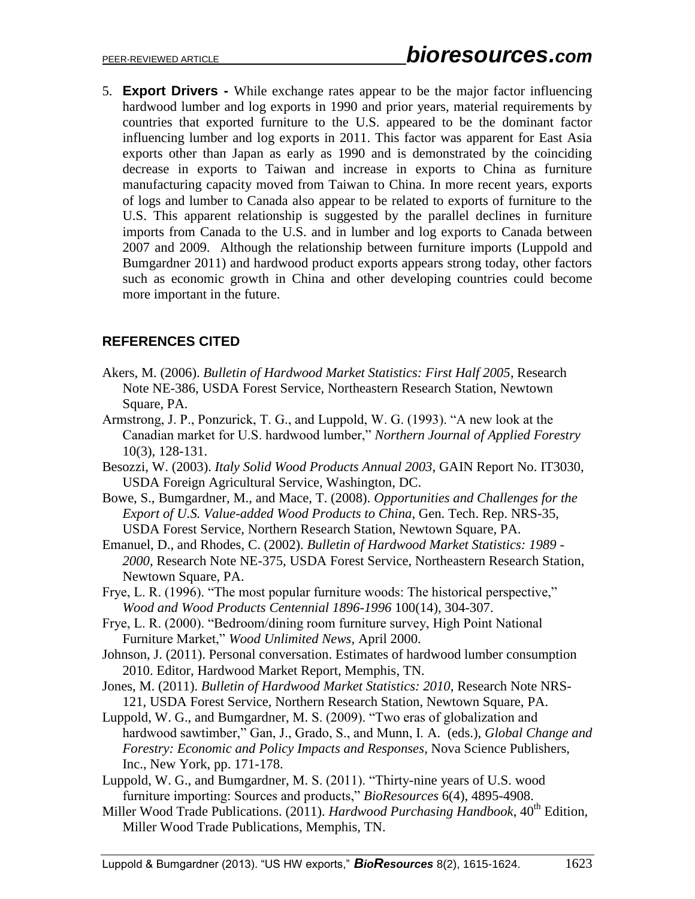5. **Export Drivers -** While exchange rates appear to be the major factor influencing hardwood lumber and log exports in 1990 and prior years, material requirements by countries that exported furniture to the U.S. appeared to be the dominant factor influencing lumber and log exports in 2011. This factor was apparent for East Asia exports other than Japan as early as 1990 and is demonstrated by the coinciding decrease in exports to Taiwan and increase in exports to China as furniture manufacturing capacity moved from Taiwan to China. In more recent years, exports of logs and lumber to Canada also appear to be related to exports of furniture to the U.S. This apparent relationship is suggested by the parallel declines in furniture imports from Canada to the U.S. and in lumber and log exports to Canada between 2007 and 2009. Although the relationship between furniture imports (Luppold and Bumgardner 2011) and hardwood product exports appears strong today, other factors such as economic growth in China and other developing countries could become more important in the future.

## **REFERENCES CITED**

- Akers, M. (2006). *Bulletin of Hardwood Market Statistics: First Half 2005*, Research Note NE-386, USDA Forest Service, Northeastern Research Station, Newtown Square, PA.
- Armstrong, J. P., Ponzurick, T. G., and Luppold, W. G. (1993). "A new look at the Canadian market for U.S. hardwood lumber," *Northern Journal of Applied Forestry* 10(3), 128-131.
- Besozzi, W. (2003). *Italy Solid Wood Products Annual 2003*, GAIN Report No. IT3030, USDA Foreign Agricultural Service, Washington, DC.
- Bowe, S., Bumgardner, M., and Mace, T. (2008). *Opportunities and Challenges for the Export of U.S. Value-added Wood Products to China*, Gen. Tech. Rep. NRS-35, USDA Forest Service, Northern Research Station, Newtown Square, PA.
- Emanuel, D., and Rhodes, C. (2002). *Bulletin of Hardwood Market Statistics: 1989 - 2000*, Research Note NE-375, USDA Forest Service, Northeastern Research Station, Newtown Square, PA.
- Frye, L. R. (1996). "The most popular furniture woods: The historical perspective," *Wood and Wood Products Centennial 1896-1996* 100(14), 304-307.
- Frye, L. R. (2000). "Bedroom/dining room furniture survey, High Point National Furniture Market," *Wood Unlimited News,* April 2000.
- Johnson, J. (2011). Personal conversation. Estimates of hardwood lumber consumption 2010. Editor, Hardwood Market Report, Memphis, TN.
- Jones, M. (2011). *Bulletin of Hardwood Market Statistics: 2010*, Research Note NRS-121, USDA Forest Service, Northern Research Station, Newtown Square, PA.
- Luppold, W. G., and Bumgardner, M. S. (2009). "Two eras of globalization and hardwood sawtimber," Gan, J., Grado, S., and Munn, I. A. (eds.), *Global Change and Forestry: Economic and Policy Impacts and Responses*, Nova Science Publishers, Inc., New York, pp. 171-178.
- Luppold, W. G., and Bumgardner, M. S. (2011). "Thirty-nine years of U.S. wood furniture importing: Sources and products," *BioResources* 6(4), 4895-4908.
- Miller Wood Trade Publications. (2011). *Hardwood Purchasing Handbook*, 40<sup>th</sup> Edition, Miller Wood Trade Publications, Memphis, TN.